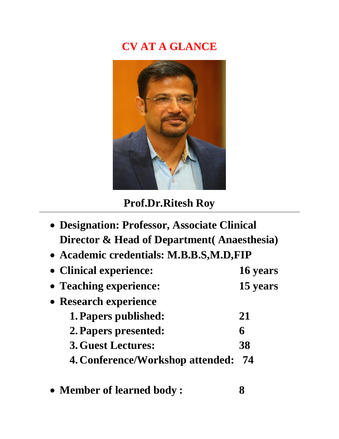# **CV AT A GLANCE**



# **Prof.Dr.Ritesh Roy**

| • Designation: Professor, Associate Clinical |          |
|----------------------------------------------|----------|
| Director & Head of Department (Anaesthesia)  |          |
| • Academic credentials: M.B.B.S.M.D.FIP      |          |
| • Clinical experience:                       | 16 years |
| • Teaching experience:                       | 15 years |
| • Research experience                        |          |
| 1. Papers published:                         | 21       |
| 2. Papers presented:                         | 6        |
| <b>3. Guest Lectures:</b>                    | 38       |
| <b>4. Conference/Workshop attended:</b>      | 74       |
|                                              |          |

**Member of learned body : 8**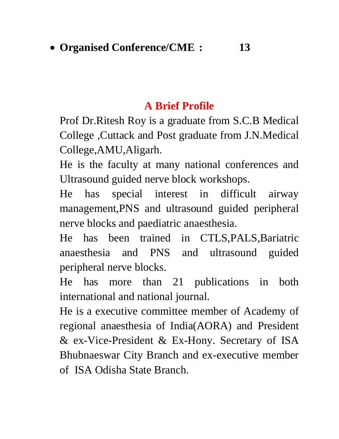#### **A Brief Profile**

Prof Dr.Ritesh Roy is a graduate from S.C.B Medical College ,Cuttack and Post graduate from J.N.Medical College,AMU,Aligarh.

He is the faculty at many national conferences and Ultrasound guided nerve block workshops.

He has special interest in difficult airway management,PNS and ultrasound guided peripheral nerve blocks and paediatric anaesthesia.

He has been trained in CTLS,PALS,Bariatric anaesthesia and PNS and ultrasound guided peripheral nerve blocks.

He has more than 21 publications in both international and national journal.

He is a executive committee member of Academy of regional anaesthesia of India(AORA) and President & ex-Vice-President & Ex-Hony. Secretary of ISA Bhubnaeswar City Branch and ex-executive member of ISA Odisha State Branch.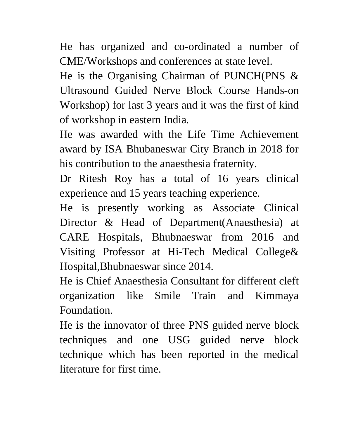He has organized and co-ordinated a number of CME/Workshops and conferences at state level.

He is the Organising Chairman of PUNCH(PNS & Ultrasound Guided Nerve Block Course Hands-on Workshop) for last 3 years and it was the first of kind of workshop in eastern India.

He was awarded with the Life Time Achievement award by ISA Bhubaneswar City Branch in 2018 for his contribution to the anaesthesia fraternity.

Dr Ritesh Roy has a total of 16 years clinical experience and 15 years teaching experience.

He is presently working as Associate Clinical Director & Head of Department(Anaesthesia) at CARE Hospitals, Bhubnaeswar from 2016 and Visiting Professor at Hi-Tech Medical College& Hospital,Bhubnaeswar since 2014.

He is Chief Anaesthesia Consultant for different cleft organization like Smile Train and Kimmaya Foundation.

He is the innovator of three PNS guided nerve block techniques and one USG guided nerve block technique which has been reported in the medical literature for first time.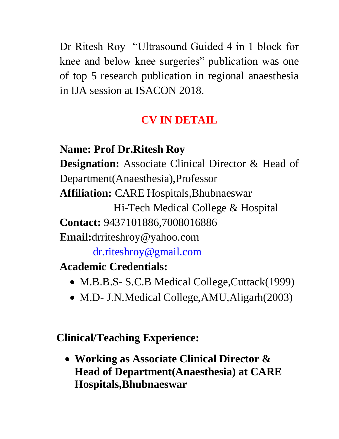Dr Ritesh Roy "Ultrasound Guided 4 in 1 block for knee and below knee surgeries" publication was one of top 5 research publication in regional anaesthesia in IJA session at ISACON 2018.

## **CV IN DETAIL**

- **Name: Prof Dr.Ritesh Roy Designation:** Associate Clinical Director & Head of Department(Anaesthesia),Professor **Affiliation:** CARE Hospitals,Bhubnaeswar Hi-Tech Medical College & Hospital **Contact:** 9437101886,7008016886 **Email:**drriteshroy@yahoo.com [dr.riteshroy@gmail.com](mailto:dr.riteshroy@gmail.com) **Academic Credentials:**
	- M.B.B.S- S.C.B Medical College, Cuttack(1999)
	- M.D- J.N.Medical College, AMU, Aligarh(2003)

**Clinical/Teaching Experience:**

 **Working as Associate Clinical Director & Head of Department(Anaesthesia) at CARE Hospitals,Bhubnaeswar**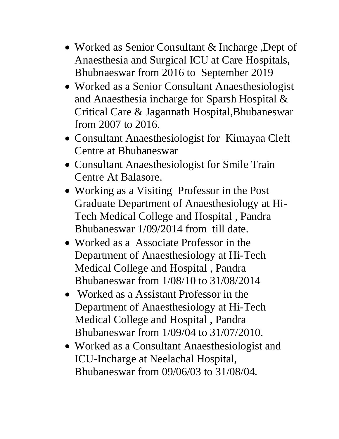- Worked as Senior Consultant & Incharge, Dept of Anaesthesia and Surgical ICU at Care Hospitals, Bhubnaeswar from 2016 to September 2019
- Worked as a Senior Consultant Anaesthesiologist and Anaesthesia incharge for Sparsh Hospital & Critical Care & Jagannath Hospital,Bhubaneswar from 2007 to 2016.
- Consultant Anaesthesiologist for Kimayaa Cleft Centre at Bhubaneswar
- Consultant Anaesthesiologist for Smile Train Centre At Balasore.
- Working as a Visiting Professor in the Post Graduate Department of Anaesthesiology at Hi-Tech Medical College and Hospital , Pandra Bhubaneswar 1/09/2014 from till date.
- Worked as a Associate Professor in the Department of Anaesthesiology at Hi-Tech Medical College and Hospital , Pandra Bhubaneswar from 1/08/10 to 31/08/2014
- Worked as a Assistant Professor in the Department of Anaesthesiology at Hi-Tech Medical College and Hospital , Pandra Bhubaneswar from 1/09/04 to 31/07/2010.
- Worked as a Consultant Anaesthesiologist and ICU-Incharge at Neelachal Hospital, Bhubaneswar from 09/06/03 to 31/08/04.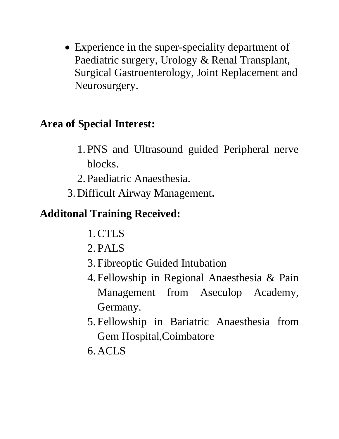• Experience in the super-speciality department of Paediatric surgery, Urology & Renal Transplant, Surgical Gastroenterology, Joint Replacement and Neurosurgery.

#### **Area of Special Interest:**

- 1. PNS and Ultrasound guided Peripheral nerve blocks.
- 2. Paediatric Anaesthesia.
- 3. Difficult Airway Management**.**

## **Additonal Training Received:**

- 1.CTLS
- 2. PALS
- 3. Fibreoptic Guided Intubation
- 4. Fellowship in Regional Anaesthesia & Pain Management from Aseculop Academy, Germany.
- 5. Fellowship in Bariatric Anaesthesia from Gem Hospital,Coimbatore
- 6. ACLS